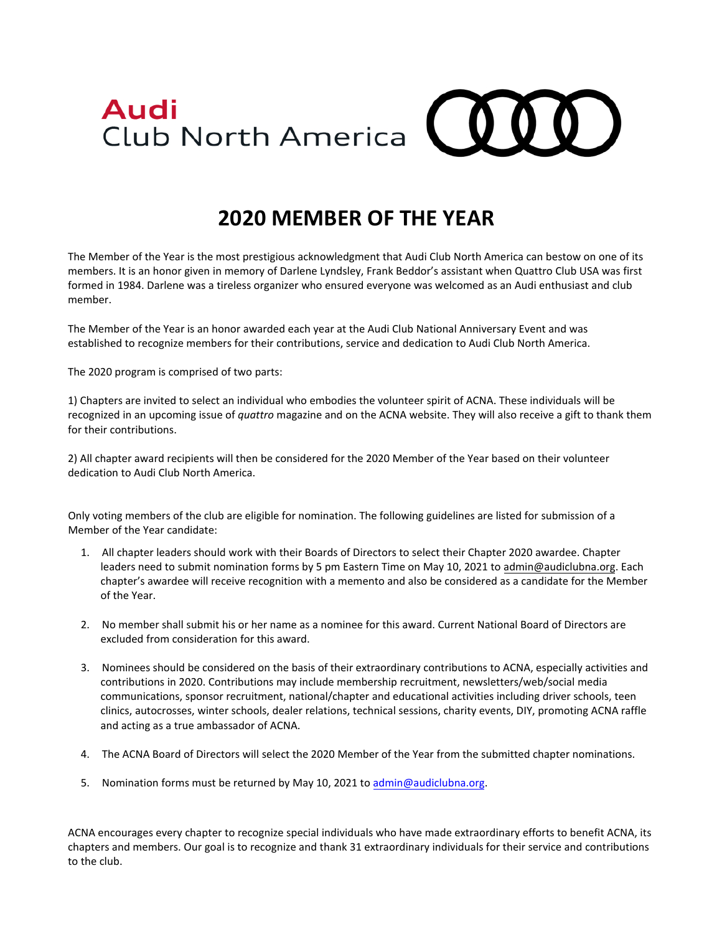

## **2020 MEMBER OF THE YEAR**

The Member of the Year is the most prestigious acknowledgment that Audi Club North America can bestow on one of its members. It is an honor given in memory of Darlene Lyndsley, Frank Beddor's assistant when Quattro Club USA was first formed in 1984. Darlene was a tireless organizer who ensured everyone was welcomed as an Audi enthusiast and club member.

The Member of the Year is an honor awarded each year at the Audi Club National Anniversary Event and was established to recognize members for their contributions, service and dedication to Audi Club North America.

The 2020 program is comprised of two parts:

1) Chapters are invited to select an individual who embodies the volunteer spirit of ACNA. These individuals will be recognized in an upcoming issue of *quattro* magazine and on the ACNA website. They will also receive a gift to thank them for their contributions.

2) All chapter award recipients will then be considered for the 2020 Member of the Year based on their volunteer dedication to Audi Club North America.

Only voting members of the club are eligible for nomination. The following guidelines are listed for submission of a Member of the Year candidate:

- 1. All chapter leaders should work with their Boards of Directors to select their Chapter 2020 awardee. Chapter leaders need to submit nomination forms by 5 pm Eastern Time on May 10, 2021 to admin@audiclubna.org. Each chapter's awardee will receive recognition with a memento and also be considered as a candidate for the Member of the Year.
- 2. No member shall submit his or her name as a nominee for this award. Current National Board of Directors are excluded from consideration for this award.
- 3. Nominees should be considered on the basis of their extraordinary contributions to ACNA, especially activities and contributions in 2020. Contributions may include membership recruitment, newsletters/web/social media communications, sponsor recruitment, national/chapter and educational activities including driver schools, teen clinics, autocrosses, winter schools, dealer relations, technical sessions, charity events, DIY, promoting ACNA raffle and acting as a true ambassador of ACNA.
- 4. The ACNA Board of Directors will select the 2020 Member of the Year from the submitted chapter nominations.
- 5. Nomination forms must be returned by May 10, 2021 to admin@audiclubna.org.

ACNA encourages every chapter to recognize special individuals who have made extraordinary efforts to benefit ACNA, its chapters and members. Our goal is to recognize and thank 31 extraordinary individuals for their service and contributions to the club.